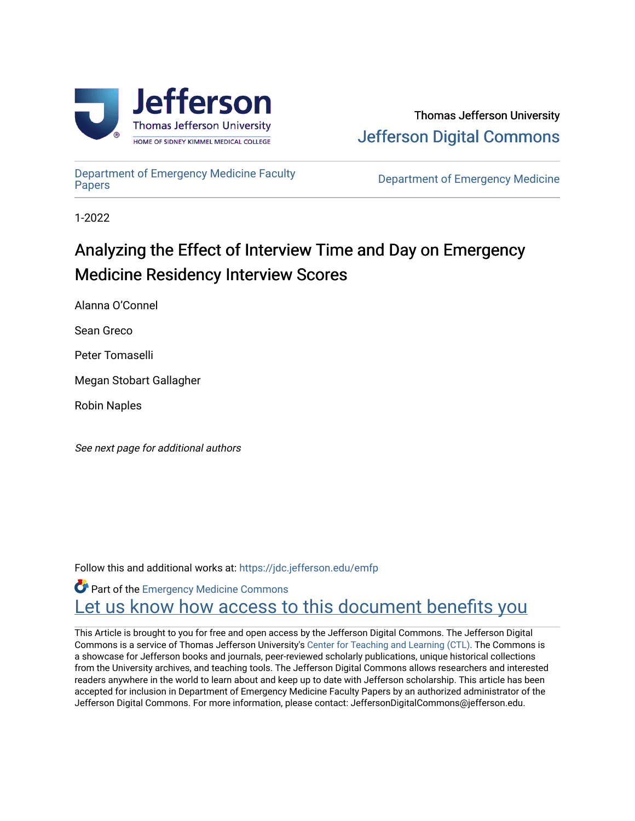

[Department of Emergency Medicine Faculty](https://jdc.jefferson.edu/emfp)

**Department of Emergency Medicine** 

1-2022

# Analyzing the Effect of Interview Time and Day on Emergency Medicine Residency Interview Scores

Alanna O'Connel

Sean Greco

Peter Tomaselli

Megan Stobart Gallagher

Robin Naples

See next page for additional authors

Follow this and additional works at: [https://jdc.jefferson.edu/emfp](https://jdc.jefferson.edu/emfp?utm_source=jdc.jefferson.edu%2Femfp%2F175&utm_medium=PDF&utm_campaign=PDFCoverPages)

Part of the [Emergency Medicine Commons](http://network.bepress.com/hgg/discipline/685?utm_source=jdc.jefferson.edu%2Femfp%2F175&utm_medium=PDF&utm_campaign=PDFCoverPages) Let us know how access to this document benefits you

This Article is brought to you for free and open access by the Jefferson Digital Commons. The Jefferson Digital Commons is a service of Thomas Jefferson University's [Center for Teaching and Learning \(CTL\)](http://www.jefferson.edu/university/teaching-learning.html/). The Commons is a showcase for Jefferson books and journals, peer-reviewed scholarly publications, unique historical collections from the University archives, and teaching tools. The Jefferson Digital Commons allows researchers and interested readers anywhere in the world to learn about and keep up to date with Jefferson scholarship. This article has been accepted for inclusion in Department of Emergency Medicine Faculty Papers by an authorized administrator of the Jefferson Digital Commons. For more information, please contact: JeffersonDigitalCommons@jefferson.edu.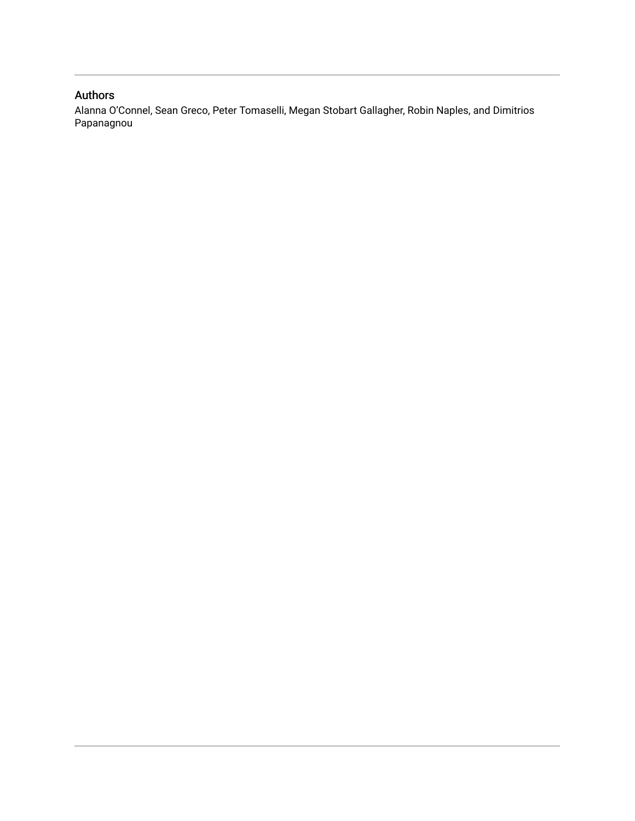#### Authors

Alanna O'Connel, Sean Greco, Peter Tomaselli, Megan Stobart Gallagher, Robin Naples, and Dimitrios Papanagnou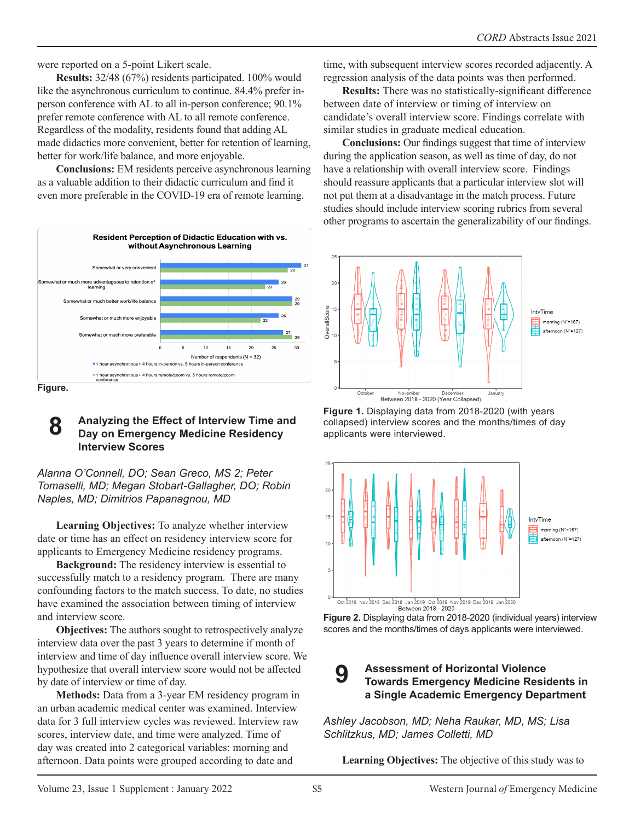were reported on a 5-point Likert scale.

**Results:** 32/48 (67%) residents participated. 100% would like the asynchronous curriculum to continue. 84.4% prefer inperson conference with AL to all in-person conference; 90.1% prefer remote conference with AL to all remote conference. Regardless of the modality, residents found that adding AL made didactics more convenient, better for retention of learning, better for work/life balance, and more enjoyable.

**Conclusions:** EM residents perceive asynchronous learning as a valuable addition to their didactic curriculum and find it even more preferable in the COVID-19 era of remote learning.



#### **8 Analyzing the Effect of Interview Time and Day on Emergency Medicine Residency Interview Scores**

*Alanna O'Connell, DO; Sean Greco, MS 2; Peter Tomaselli, MD; Megan Stobart-Gallagher, DO; Robin Naples, MD; Dimitrios Papanagnou, MD*

**Learning Objectives:** To analyze whether interview date or time has an effect on residency interview score for applicants to Emergency Medicine residency programs.

**Background:** The residency interview is essential to successfully match to a residency program. There are many confounding factors to the match success. To date, no studies have examined the association between timing of interview and interview score.

**Objectives:** The authors sought to retrospectively analyze interview data over the past 3 years to determine if month of interview and time of day influence overall interview score. We hypothesize that overall interview score would not be affected by date of interview or time of day.

**Methods:** Data from a 3-year EM residency program in an urban academic medical center was examined. Interview data for 3 full interview cycles was reviewed. Interview raw scores, interview date, and time were analyzed. Time of day was created into 2 categorical variables: morning and afternoon. Data points were grouped according to date and

time, with subsequent interview scores recorded adjacently. A regression analysis of the data points was then performed.

**Results:** There was no statistically-significant difference between date of interview or timing of interview on candidate's overall interview score. Findings correlate with similar studies in graduate medical education.

**Conclusions:** Our findings suggest that time of interview during the application season, as well as time of day, do not have a relationship with overall interview score. Findings should reassure applicants that a particular interview slot will not put them at a disadvantage in the match process. Future studies should include interview scoring rubrics from several other programs to ascertain the generalizability of our findings.



**Figure 1.** Displaying data from 2018-2020 (with years collapsed) interview scores and the months/times of day applicants were interviewed.





#### **9 Assessment of Horizontal Violence Towards Emergency Medicine Residents in a Single Academic Emergency Department**

*Ashley Jacobson, MD; Neha Raukar, MD, MS; Lisa Schlitzkus, MD; James Colletti, MD*

**Learning Objectives:** The objective of this study was to